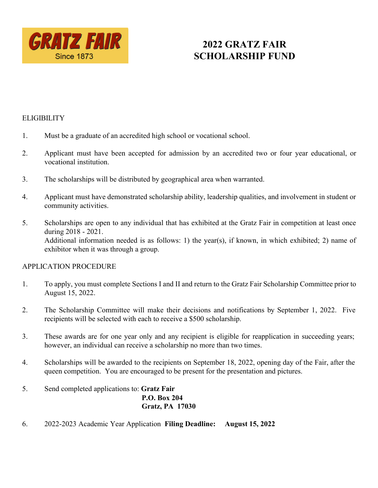

# **2022 GRATZ FAIR SCHOLARSHIP FUND**

## **ELIGIBILITY**

- 1. Must be a graduate of an accredited high school or vocational school.
- 2. Applicant must have been accepted for admission by an accredited two or four year educational, or vocational institution.
- 3. The scholarships will be distributed by geographical area when warranted.
- 4. Applicant must have demonstrated scholarship ability, leadership qualities, and involvement in student or community activities.
- 5. Scholarships are open to any individual that has exhibited at the Gratz Fair in competition at least once during 2018 - 2021. Additional information needed is as follows: 1) the year(s), if known, in which exhibited; 2) name of exhibitor when it was through a group.

#### APPLICATION PROCEDURE

- 1. To apply, you must complete Sections I and II and return to the Gratz Fair Scholarship Committee prior to August 15, 2022.
- 2. The Scholarship Committee will make their decisions and notifications by September 1, 2022. Five recipients will be selected with each to receive a \$500 scholarship.
- 3. These awards are for one year only and any recipient is eligible for reapplication in succeeding years; however, an individual can receive a scholarship no more than two times.
- 4. Scholarships will be awarded to the recipients on September 18, 2022, opening day of the Fair, after the queen competition. You are encouraged to be present for the presentation and pictures.

### 5. Send completed applications to: **Gratz Fair P.O. Box 204 Gratz, PA 17030**

6. 2022-2023 Academic Year Application **Filing Deadline: August 15, 2022**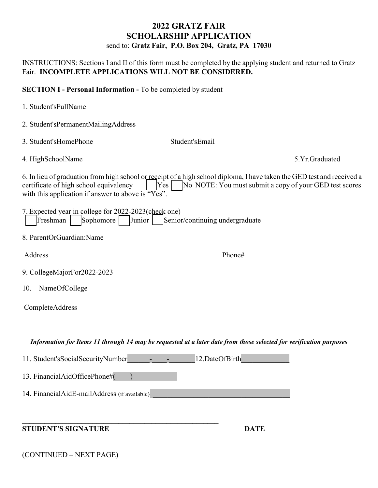# **2022 GRATZ FAIR SCHOLARSHIP APPLICATION** send to: **Gratz Fair, P.O. Box 204, Gratz, PA 17030**

INSTRUCTIONS: Sections I and II of this form must be completed by the applying student and returned to Gratz Fair. **INCOMPLETE APPLICATIONS WILL NOT BE CONSIDERED.**

**SECTION I - Personal Information -** To be completed by student

1. Student'sFullName

| 2. Student'sPermanentMailingAddress                                                                                 |                                                                                                                                                                                    |
|---------------------------------------------------------------------------------------------------------------------|------------------------------------------------------------------------------------------------------------------------------------------------------------------------------------|
| 3. Student'sHomePhone                                                                                               | Student'sEmail                                                                                                                                                                     |
| 4. HighSchoolName                                                                                                   | 5.Yr.Graduated                                                                                                                                                                     |
| certificate of high school equivalency<br>Yes<br>with this application if answer to above is $\sqrt{\text{Y}}$ es". | 6. In lieu of graduation from high school or receipt of a high school diploma, I have taken the GED test and received a<br>No NOTE: You must submit a copy of your GED test scores |
| 7. Expected year in college for 2022-2023 (check one)<br>Sophomore<br>Freshman<br>Junior                            | Senior/continuing undergraduate                                                                                                                                                    |
| 8. ParentOrGuardian:Name                                                                                            |                                                                                                                                                                                    |
| Address                                                                                                             | Phone#                                                                                                                                                                             |
| 9. CollegeMajorFor2022-2023                                                                                         |                                                                                                                                                                                    |
| NameOfCollege<br>10.                                                                                                |                                                                                                                                                                                    |
| CompleteAddress                                                                                                     |                                                                                                                                                                                    |
|                                                                                                                     | Information for Items 11 through 14 may be requested at a later date from those selected for verification purposes                                                                 |
| 11. Student's Social Security Number                                                                                | 12.DateOfBirth                                                                                                                                                                     |
| 13. FinancialAidOfficePhone#(                                                                                       |                                                                                                                                                                                    |
| 14. FinancialAidE-mailAddress (if available)                                                                        |                                                                                                                                                                                    |
| <b>STUDENT'S SIGNATURE</b>                                                                                          | <b>DATE</b>                                                                                                                                                                        |